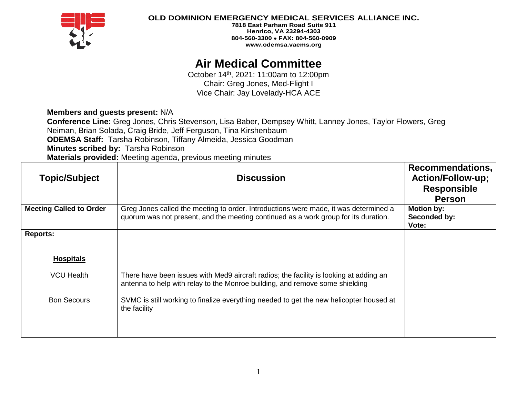

### **OLD DOMINION EMERGENCY MEDICAL SERVICES ALLIANCE INC.**

**7818 East Parham Road Suite 911 Henrico, VA 23294-4303 804-560-3300** • **FAX: 804-560-0909 www.odemsa.vaems.org**

# **Air Medical Committee**

October 14th, 2021: 11:00am to 12:00pm Chair: Greg Jones, Med-Flight I Vice Chair: Jay Lovelady-HCA ACE

## **Members and guests present:** N/A

**Conference Line:** Greg Jones, Chris Stevenson, Lisa Baber, Dempsey Whitt, Lanney Jones, Taylor Flowers, Greg Neiman, Brian Solada, Craig Bride, Jeff Ferguson, Tina Kirshenbaum **ODEMSA Staff:** Tarsha Robinson, Tiffany Almeida, Jessica Goodman **Minutes scribed by:** Tarsha Robinson **Materials provided:** Meeting agenda, previous meeting minutes

| <b>Topic/Subject</b>           | <b>Discussion</b>                                                                                                                                                           | Recommendations,<br><b>Action/Follow-up;</b><br><b>Responsible</b><br><b>Person</b> |
|--------------------------------|-----------------------------------------------------------------------------------------------------------------------------------------------------------------------------|-------------------------------------------------------------------------------------|
| <b>Meeting Called to Order</b> | Greg Jones called the meeting to order. Introductions were made, it was determined a<br>quorum was not present, and the meeting continued as a work group for its duration. | Motion by:<br>Seconded by:<br>Vote:                                                 |
| <b>Reports:</b>                |                                                                                                                                                                             |                                                                                     |
| <b>Hospitals</b>               |                                                                                                                                                                             |                                                                                     |
| <b>VCU Health</b>              | There have been issues with Med9 aircraft radios; the facility is looking at adding an<br>antenna to help with relay to the Monroe building, and remove some shielding      |                                                                                     |
| <b>Bon Secours</b>             | SVMC is still working to finalize everything needed to get the new helicopter housed at<br>the facility                                                                     |                                                                                     |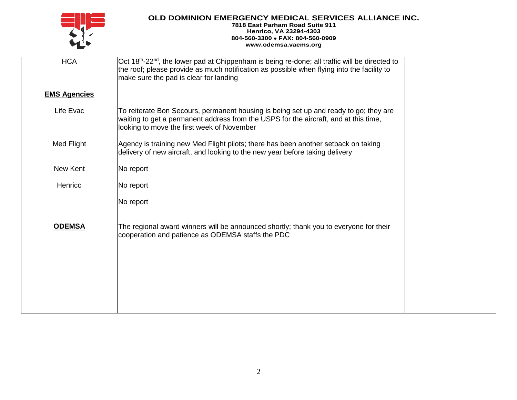

# **OLD DOMINION EMERGENCY MEDICAL SERVICES ALLIANCE INC.**

#### **7818 East Parham Road Suite 911 Henrico, VA 23294-4303 804-560-3300** • **FAX: 804-560-0909 www.odemsa.vaems.org**

| <b>HCA</b>          | $\vert$ Oct 18 <sup>th</sup> -22 <sup>nd</sup> , the lower pad at Chippenham is being re-done; all traffic will be directed to<br>the roof; please provide as much notification as possible when flying into the facility to<br>make sure the pad is clear for landing |  |
|---------------------|------------------------------------------------------------------------------------------------------------------------------------------------------------------------------------------------------------------------------------------------------------------------|--|
| <b>EMS Agencies</b> |                                                                                                                                                                                                                                                                        |  |
| Life Evac           | To reiterate Bon Secours, permanent housing is being set up and ready to go; they are<br>waiting to get a permanent address from the USPS for the aircraft, and at this time,<br>looking to move the first week of November                                            |  |
| Med Flight          | Agency is training new Med Flight pilots; there has been another setback on taking<br>delivery of new aircraft, and looking to the new year before taking delivery                                                                                                     |  |
| New Kent            | No report                                                                                                                                                                                                                                                              |  |
| Henrico             | No report                                                                                                                                                                                                                                                              |  |
|                     | No report                                                                                                                                                                                                                                                              |  |
| <b>ODEMSA</b>       | The regional award winners will be announced shortly; thank you to everyone for their<br>cooperation and patience as ODEMSA staffs the PDC                                                                                                                             |  |
|                     |                                                                                                                                                                                                                                                                        |  |
|                     |                                                                                                                                                                                                                                                                        |  |
|                     |                                                                                                                                                                                                                                                                        |  |
|                     |                                                                                                                                                                                                                                                                        |  |